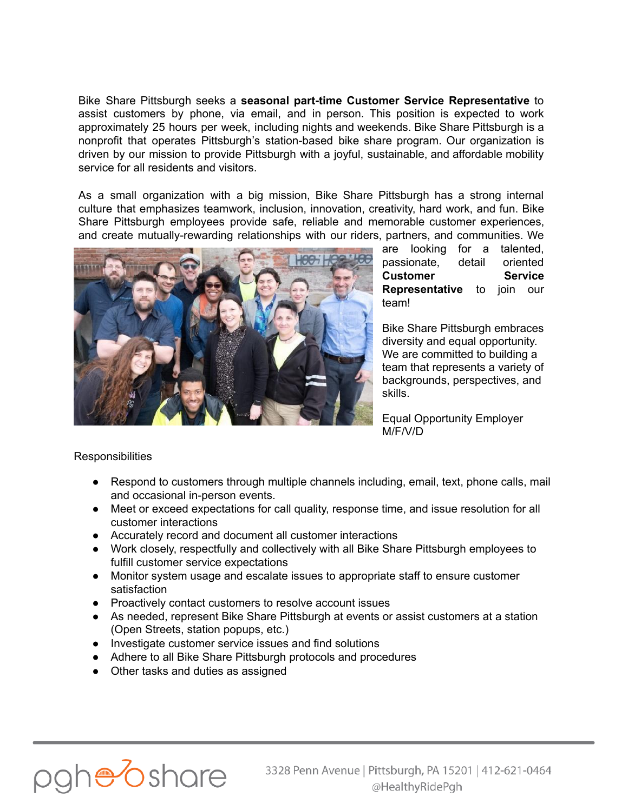Bike Share Pittsburgh seeks a **seasonal part-time Customer Service Representative** to assist customers by phone, via email, and in person. This position is expected to work approximately 25 hours per week, including nights and weekends. Bike Share Pittsburgh is a nonprofit that operates Pittsburgh's station-based bike share program. Our organization is driven by our mission to provide Pittsburgh with a joyful, sustainable, and affordable mobility service for all residents and visitors.

As a small organization with a big mission, Bike Share Pittsburgh has a strong internal culture that emphasizes teamwork, inclusion, innovation, creativity, hard work, and fun. Bike Share Pittsburgh employees provide safe, reliable and memorable customer experiences, and create mutually-rewarding relationships with our riders, partners, and communities. We



are looking for a talented, passionate, detail oriented **Customer Service Representative** to join our team!

Bike Share Pittsburgh embraces diversity and equal opportunity. We are committed to building a team that represents a variety of backgrounds, perspectives, and skills.

Equal Opportunity Employer M/F/V/D

## **Responsibilities**

- Respond to customers through multiple channels including, email, text, phone calls, mail and occasional in-person events.
- Meet or exceed expectations for call quality, response time, and issue resolution for all customer interactions
- Accurately record and document all customer interactions
- Work closely, respectfully and collectively with all Bike Share Pittsburgh employees to fulfill customer service expectations
- Monitor system usage and escalate issues to appropriate staff to ensure customer satisfaction
- Proactively contact customers to resolve account issues
- As needed, represent Bike Share Pittsburgh at events or assist customers at a station (Open Streets, station popups, etc.)
- Investigate customer service issues and find solutions
- Adhere to all Bike Share Pittsburgh protocols and procedures
- Other tasks and duties as assigned